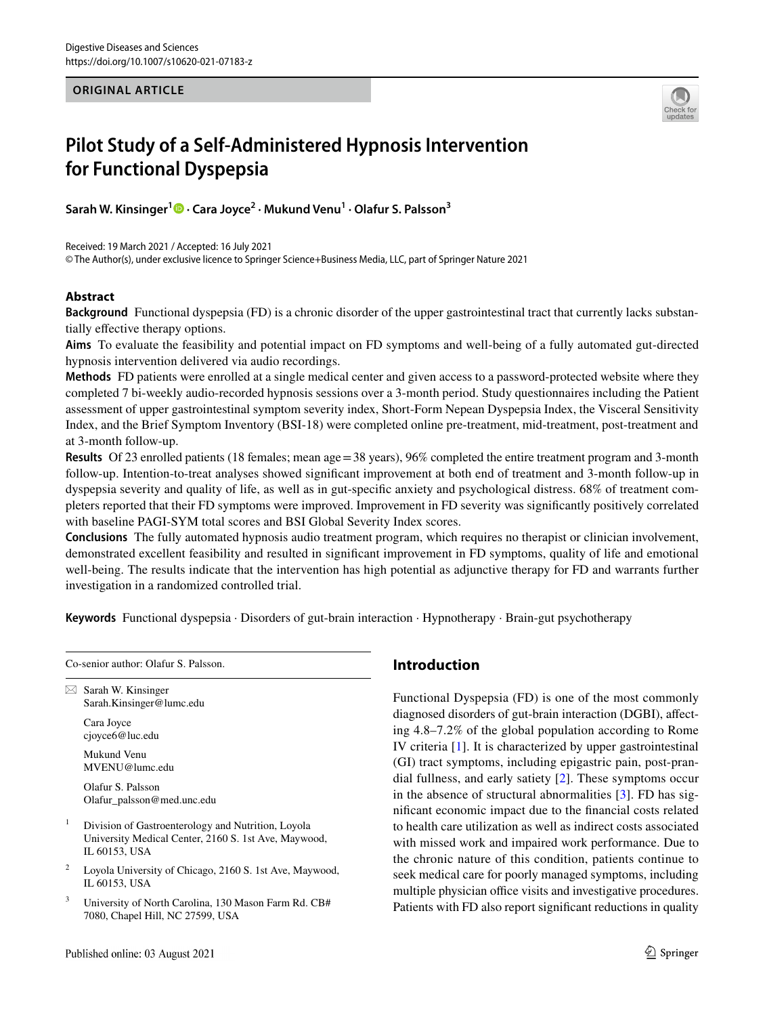## **ORIGINAL ARTICLE**



# **Pilot Study of a Self‑Administered Hypnosis Intervention for Functional Dyspepsia**

**Sarah W. Kinsinger[1](http://orcid.org/0000-0001-6737-6609) · Cara Joyce2 · Mukund Venu1 · Olafur S. Palsson3**

Received: 19 March 2021 / Accepted: 16 July 2021

© The Author(s), under exclusive licence to Springer Science+Business Media, LLC, part of Springer Nature 2021

# **Abstract**

**Background** Functional dyspepsia (FD) is a chronic disorder of the upper gastrointestinal tract that currently lacks substantially efective therapy options.

**Aims** To evaluate the feasibility and potential impact on FD symptoms and well-being of a fully automated gut-directed hypnosis intervention delivered via audio recordings.

**Methods** FD patients were enrolled at a single medical center and given access to a password-protected website where they completed 7 bi-weekly audio-recorded hypnosis sessions over a 3-month period. Study questionnaires including the Patient assessment of upper gastrointestinal symptom severity index, Short-Form Nepean Dyspepsia Index, the Visceral Sensitivity Index, and the Brief Symptom Inventory (BSI-18) were completed online pre-treatment, mid-treatment, post-treatment and at 3-month follow-up.

**Results** Of 23 enrolled patients (18 females; mean age = 38 years), 96% completed the entire treatment program and 3-month follow-up. Intention-to-treat analyses showed signifcant improvement at both end of treatment and 3-month follow-up in dyspepsia severity and quality of life, as well as in gut-specifc anxiety and psychological distress. 68% of treatment completers reported that their FD symptoms were improved. Improvement in FD severity was signifcantly positively correlated with baseline PAGI-SYM total scores and BSI Global Severity Index scores.

**Conclusions** The fully automated hypnosis audio treatment program, which requires no therapist or clinician involvement, demonstrated excellent feasibility and resulted in signifcant improvement in FD symptoms, quality of life and emotional well-being. The results indicate that the intervention has high potential as adjunctive therapy for FD and warrants further investigation in a randomized controlled trial.

**Keywords** Functional dyspepsia · Disorders of gut-brain interaction · Hypnotherapy · Brain-gut psychotherapy

Co-senior author: Olafur S. Palsson.

 $\boxtimes$  Sarah W. Kinsinger Sarah.Kinsinger@lumc.edu

Cara Joyce cjoyce6@luc.edu

Mukund Venu MVENU@lumc.edu

Olafur S. Palsson Olafur\_palsson@med.unc.edu

- <sup>1</sup> Division of Gastroenterology and Nutrition, Loyola University Medical Center, 2160 S. 1st Ave, Maywood, IL 60153, USA
- <sup>2</sup> Loyola University of Chicago, 2160 S. 1st Ave, Maywood, IL 60153, USA
- <sup>3</sup> University of North Carolina, 130 Mason Farm Rd. CB# 7080, Chapel Hill, NC 27599, USA

# **Introduction**

Functional Dyspepsia (FD) is one of the most commonly diagnosed disorders of gut-brain interaction (DGBI), afecting 4.8–7.2% of the global population according to Rome IV criteria [[1\]](#page-7-0). It is characterized by upper gastrointestinal (GI) tract symptoms, including epigastric pain, post-prandial fullness, and early satiety [[2\]](#page-8-0). These symptoms occur in the absence of structural abnormalities [[3\]](#page-8-1). FD has signifcant economic impact due to the fnancial costs related to health care utilization as well as indirect costs associated with missed work and impaired work performance. Due to the chronic nature of this condition, patients continue to seek medical care for poorly managed symptoms, including multiple physician office visits and investigative procedures. Patients with FD also report signifcant reductions in quality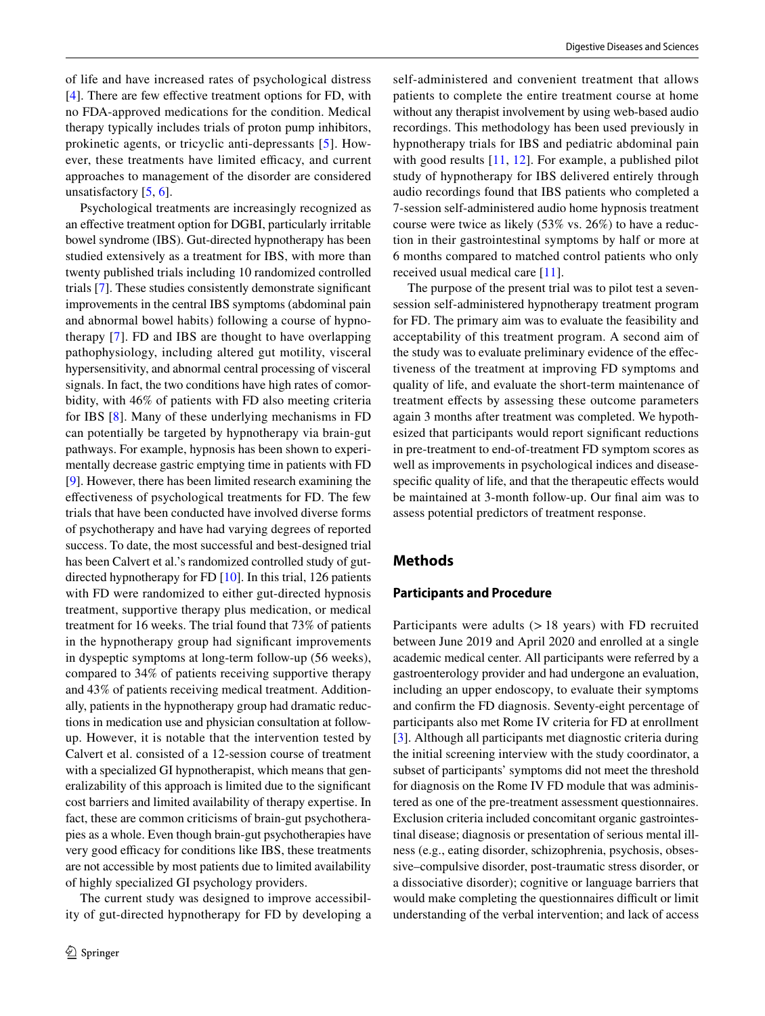of life and have increased rates of psychological distress [\[4](#page-8-2)]. There are few effective treatment options for FD, with no FDA-approved medications for the condition. Medical therapy typically includes trials of proton pump inhibitors, prokinetic agents, or tricyclic anti-depressants [[5\]](#page-8-3). However, these treatments have limited efficacy, and current approaches to management of the disorder are considered unsatisfactory  $[5, 6]$  $[5, 6]$  $[5, 6]$  $[5, 6]$ .

Psychological treatments are increasingly recognized as an efective treatment option for DGBI, particularly irritable bowel syndrome (IBS). Gut-directed hypnotherapy has been studied extensively as a treatment for IBS, with more than twenty published trials including 10 randomized controlled trials [[7\]](#page-8-5). These studies consistently demonstrate signifcant improvements in the central IBS symptoms (abdominal pain and abnormal bowel habits) following a course of hypnotherapy [[7\]](#page-8-5). FD and IBS are thought to have overlapping pathophysiology, including altered gut motility, visceral hypersensitivity, and abnormal central processing of visceral signals. In fact, the two conditions have high rates of comorbidity, with 46% of patients with FD also meeting criteria for IBS [[8](#page-8-6)]. Many of these underlying mechanisms in FD can potentially be targeted by hypnotherapy via brain-gut pathways. For example, hypnosis has been shown to experimentally decrease gastric emptying time in patients with FD [\[9](#page-8-7)]. However, there has been limited research examining the efectiveness of psychological treatments for FD. The few trials that have been conducted have involved diverse forms of psychotherapy and have had varying degrees of reported success. To date, the most successful and best-designed trial has been Calvert et al.'s randomized controlled study of gutdirected hypnotherapy for FD [\[10](#page-8-8)]. In this trial, 126 patients with FD were randomized to either gut-directed hypnosis treatment, supportive therapy plus medication, or medical treatment for 16 weeks. The trial found that 73% of patients in the hypnotherapy group had signifcant improvements in dyspeptic symptoms at long-term follow-up (56 weeks), compared to 34% of patients receiving supportive therapy and 43% of patients receiving medical treatment. Additionally, patients in the hypnotherapy group had dramatic reductions in medication use and physician consultation at followup. However, it is notable that the intervention tested by Calvert et al. consisted of a 12-session course of treatment with a specialized GI hypnotherapist, which means that generalizability of this approach is limited due to the signifcant cost barriers and limited availability of therapy expertise. In fact, these are common criticisms of brain-gut psychotherapies as a whole. Even though brain-gut psychotherapies have very good efficacy for conditions like IBS, these treatments are not accessible by most patients due to limited availability of highly specialized GI psychology providers.

The current study was designed to improve accessibility of gut-directed hypnotherapy for FD by developing a self-administered and convenient treatment that allows patients to complete the entire treatment course at home without any therapist involvement by using web-based audio recordings. This methodology has been used previously in hypnotherapy trials for IBS and pediatric abdominal pain with good results [[11,](#page-8-9) [12\]](#page-8-10). For example, a published pilot study of hypnotherapy for IBS delivered entirely through audio recordings found that IBS patients who completed a 7-session self-administered audio home hypnosis treatment course were twice as likely (53% vs. 26%) to have a reduction in their gastrointestinal symptoms by half or more at 6 months compared to matched control patients who only received usual medical care [\[11\]](#page-8-9).

The purpose of the present trial was to pilot test a sevensession self-administered hypnotherapy treatment program for FD. The primary aim was to evaluate the feasibility and acceptability of this treatment program. A second aim of the study was to evaluate preliminary evidence of the efectiveness of the treatment at improving FD symptoms and quality of life, and evaluate the short-term maintenance of treatment efects by assessing these outcome parameters again 3 months after treatment was completed. We hypothesized that participants would report signifcant reductions in pre-treatment to end-of-treatment FD symptom scores as well as improvements in psychological indices and diseasespecific quality of life, and that the therapeutic effects would be maintained at 3-month follow-up. Our fnal aim was to assess potential predictors of treatment response.

# **Methods**

#### **Participants and Procedure**

Participants were adults  $(> 18$  years) with FD recruited between June 2019 and April 2020 and enrolled at a single academic medical center. All participants were referred by a gastroenterology provider and had undergone an evaluation, including an upper endoscopy, to evaluate their symptoms and confrm the FD diagnosis. Seventy-eight percentage of participants also met Rome IV criteria for FD at enrollment [[3\]](#page-8-1). Although all participants met diagnostic criteria during the initial screening interview with the study coordinator, a subset of participants' symptoms did not meet the threshold for diagnosis on the Rome IV FD module that was administered as one of the pre-treatment assessment questionnaires. Exclusion criteria included concomitant organic gastrointestinal disease; diagnosis or presentation of serious mental illness (e.g., eating disorder, schizophrenia, psychosis, obsessive–compulsive disorder, post-traumatic stress disorder, or a dissociative disorder); cognitive or language barriers that would make completing the questionnaires difficult or limit understanding of the verbal intervention; and lack of access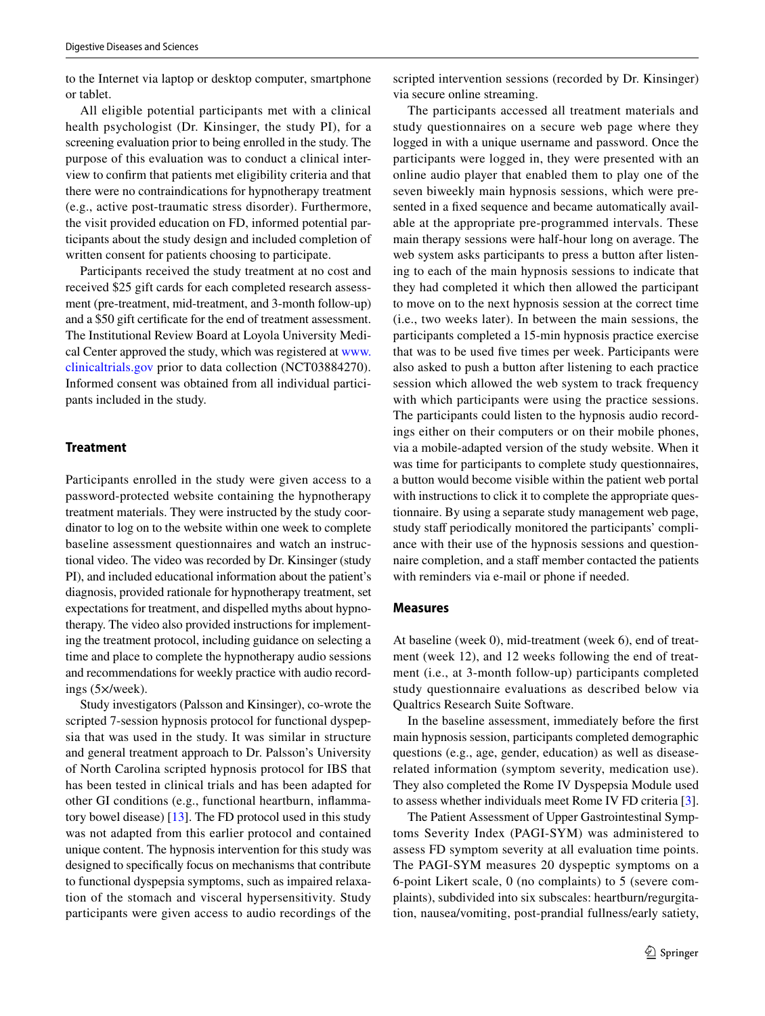to the Internet via laptop or desktop computer, smartphone or tablet.

All eligible potential participants met with a clinical health psychologist (Dr. Kinsinger, the study PI), for a screening evaluation prior to being enrolled in the study. The purpose of this evaluation was to conduct a clinical interview to confrm that patients met eligibility criteria and that there were no contraindications for hypnotherapy treatment (e.g., active post-traumatic stress disorder). Furthermore, the visit provided education on FD, informed potential participants about the study design and included completion of written consent for patients choosing to participate.

Participants received the study treatment at no cost and received \$25 gift cards for each completed research assessment (pre-treatment, mid-treatment, and 3-month follow-up) and a \$50 gift certifcate for the end of treatment assessment. The Institutional Review Board at Loyola University Medical Center approved the study, which was registered at [www.](http://www.clinicaltrials.gov) [clinicaltrials.gov](http://www.clinicaltrials.gov) prior to data collection (NCT03884270). Informed consent was obtained from all individual participants included in the study.

# **Treatment**

Participants enrolled in the study were given access to a password-protected website containing the hypnotherapy treatment materials. They were instructed by the study coordinator to log on to the website within one week to complete baseline assessment questionnaires and watch an instructional video. The video was recorded by Dr. Kinsinger (study PI), and included educational information about the patient's diagnosis, provided rationale for hypnotherapy treatment, set expectations for treatment, and dispelled myths about hypnotherapy. The video also provided instructions for implementing the treatment protocol, including guidance on selecting a time and place to complete the hypnotherapy audio sessions and recommendations for weekly practice with audio recordings (5×/week).

Study investigators (Palsson and Kinsinger), co-wrote the scripted 7-session hypnosis protocol for functional dyspepsia that was used in the study. It was similar in structure and general treatment approach to Dr. Palsson's University of North Carolina scripted hypnosis protocol for IBS that has been tested in clinical trials and has been adapted for other GI conditions (e.g., functional heartburn, infammatory bowel disease) [[13\]](#page-8-11). The FD protocol used in this study was not adapted from this earlier protocol and contained unique content. The hypnosis intervention for this study was designed to specifcally focus on mechanisms that contribute to functional dyspepsia symptoms, such as impaired relaxation of the stomach and visceral hypersensitivity. Study participants were given access to audio recordings of the

scripted intervention sessions (recorded by Dr. Kinsinger) via secure online streaming.

The participants accessed all treatment materials and study questionnaires on a secure web page where they logged in with a unique username and password. Once the participants were logged in, they were presented with an online audio player that enabled them to play one of the seven biweekly main hypnosis sessions, which were presented in a fxed sequence and became automatically available at the appropriate pre-programmed intervals. These main therapy sessions were half-hour long on average. The web system asks participants to press a button after listening to each of the main hypnosis sessions to indicate that they had completed it which then allowed the participant to move on to the next hypnosis session at the correct time (i.e., two weeks later). In between the main sessions, the participants completed a 15-min hypnosis practice exercise that was to be used fve times per week. Participants were also asked to push a button after listening to each practice session which allowed the web system to track frequency with which participants were using the practice sessions. The participants could listen to the hypnosis audio recordings either on their computers or on their mobile phones, via a mobile-adapted version of the study website. When it was time for participants to complete study questionnaires, a button would become visible within the patient web portal with instructions to click it to complete the appropriate questionnaire. By using a separate study management web page, study staff periodically monitored the participants' compliance with their use of the hypnosis sessions and questionnaire completion, and a staff member contacted the patients with reminders via e-mail or phone if needed.

#### **Measures**

At baseline (week 0), mid-treatment (week 6), end of treatment (week 12), and 12 weeks following the end of treatment (i.e., at 3-month follow-up) participants completed study questionnaire evaluations as described below via Qualtrics Research Suite Software.

In the baseline assessment, immediately before the frst main hypnosis session, participants completed demographic questions (e.g., age, gender, education) as well as diseaserelated information (symptom severity, medication use). They also completed the Rome IV Dyspepsia Module used to assess whether individuals meet Rome IV FD criteria [\[3](#page-8-1)].

The Patient Assessment of Upper Gastrointestinal Symptoms Severity Index (PAGI-SYM) was administered to assess FD symptom severity at all evaluation time points. The PAGI-SYM measures 20 dyspeptic symptoms on a 6-point Likert scale, 0 (no complaints) to 5 (severe complaints), subdivided into six subscales: heartburn/regurgitation, nausea/vomiting, post-prandial fullness/early satiety,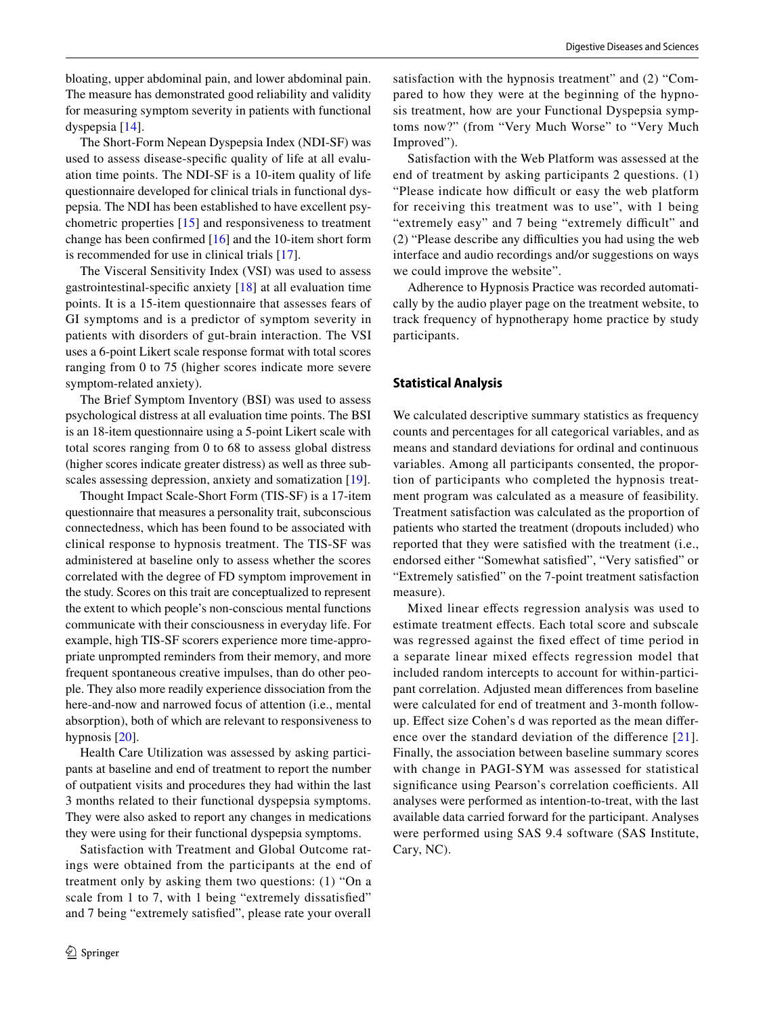bloating, upper abdominal pain, and lower abdominal pain. The measure has demonstrated good reliability and validity for measuring symptom severity in patients with functional dyspepsia [[14\]](#page-8-12).

The Short-Form Nepean Dyspepsia Index (NDI-SF) was used to assess disease-specifc quality of life at all evaluation time points. The NDI-SF is a 10-item quality of life questionnaire developed for clinical trials in functional dyspepsia. The NDI has been established to have excellent psychometric properties [[15](#page-8-13)] and responsiveness to treatment change has been confrmed [[16\]](#page-8-14) and the 10-item short form is recommended for use in clinical trials [[17\]](#page-8-15).

The Visceral Sensitivity Index (VSI) was used to assess gastrointestinal-specifc anxiety [[18\]](#page-8-16) at all evaluation time points. It is a 15-item questionnaire that assesses fears of GI symptoms and is a predictor of symptom severity in patients with disorders of gut-brain interaction. The VSI uses a 6-point Likert scale response format with total scores ranging from 0 to 75 (higher scores indicate more severe symptom-related anxiety).

The Brief Symptom Inventory (BSI) was used to assess psychological distress at all evaluation time points. The BSI is an 18-item questionnaire using a 5-point Likert scale with total scores ranging from 0 to 68 to assess global distress (higher scores indicate greater distress) as well as three sub-scales assessing depression, anxiety and somatization [[19\]](#page-8-17).

Thought Impact Scale-Short Form (TIS-SF) is a 17-item questionnaire that measures a personality trait, subconscious connectedness, which has been found to be associated with clinical response to hypnosis treatment. The TIS-SF was administered at baseline only to assess whether the scores correlated with the degree of FD symptom improvement in the study. Scores on this trait are conceptualized to represent the extent to which people's non-conscious mental functions communicate with their consciousness in everyday life. For example, high TIS-SF scorers experience more time-appropriate unprompted reminders from their memory, and more frequent spontaneous creative impulses, than do other people. They also more readily experience dissociation from the here-and-now and narrowed focus of attention (i.e., mental absorption), both of which are relevant to responsiveness to hypnosis [[20\]](#page-8-18).

Health Care Utilization was assessed by asking participants at baseline and end of treatment to report the number of outpatient visits and procedures they had within the last 3 months related to their functional dyspepsia symptoms. They were also asked to report any changes in medications they were using for their functional dyspepsia symptoms.

Satisfaction with Treatment and Global Outcome ratings were obtained from the participants at the end of treatment only by asking them two questions: (1) "On a scale from 1 to 7, with 1 being "extremely dissatisfed" and 7 being "extremely satisfed", please rate your overall satisfaction with the hypnosis treatment" and (2) "Compared to how they were at the beginning of the hypnosis treatment, how are your Functional Dyspepsia symptoms now?" (from "Very Much Worse" to "Very Much Improved").

Satisfaction with the Web Platform was assessed at the end of treatment by asking participants 2 questions. (1) "Please indicate how difficult or easy the web platform for receiving this treatment was to use", with 1 being "extremely easy" and 7 being "extremely difficult" and (2) "Please describe any difculties you had using the web interface and audio recordings and/or suggestions on ways we could improve the website".

Adherence to Hypnosis Practice was recorded automatically by the audio player page on the treatment website, to track frequency of hypnotherapy home practice by study participants.

# **Statistical Analysis**

We calculated descriptive summary statistics as frequency counts and percentages for all categorical variables, and as means and standard deviations for ordinal and continuous variables. Among all participants consented, the proportion of participants who completed the hypnosis treatment program was calculated as a measure of feasibility. Treatment satisfaction was calculated as the proportion of patients who started the treatment (dropouts included) who reported that they were satisfed with the treatment (i.e., endorsed either "Somewhat satisfed", "Very satisfed" or "Extremely satisfed" on the 7-point treatment satisfaction measure).

Mixed linear efects regression analysis was used to estimate treatment efects. Each total score and subscale was regressed against the fxed efect of time period in a separate linear mixed effects regression model that included random intercepts to account for within-participant correlation. Adjusted mean diferences from baseline were calculated for end of treatment and 3-month followup. Efect size Cohen's d was reported as the mean difer-ence over the standard deviation of the difference [[21](#page-8-19)]. Finally, the association between baseline summary scores with change in PAGI-SYM was assessed for statistical significance using Pearson's correlation coefficients. All analyses were performed as intention-to-treat, with the last available data carried forward for the participant. Analyses were performed using SAS 9.4 software (SAS Institute, Cary, NC).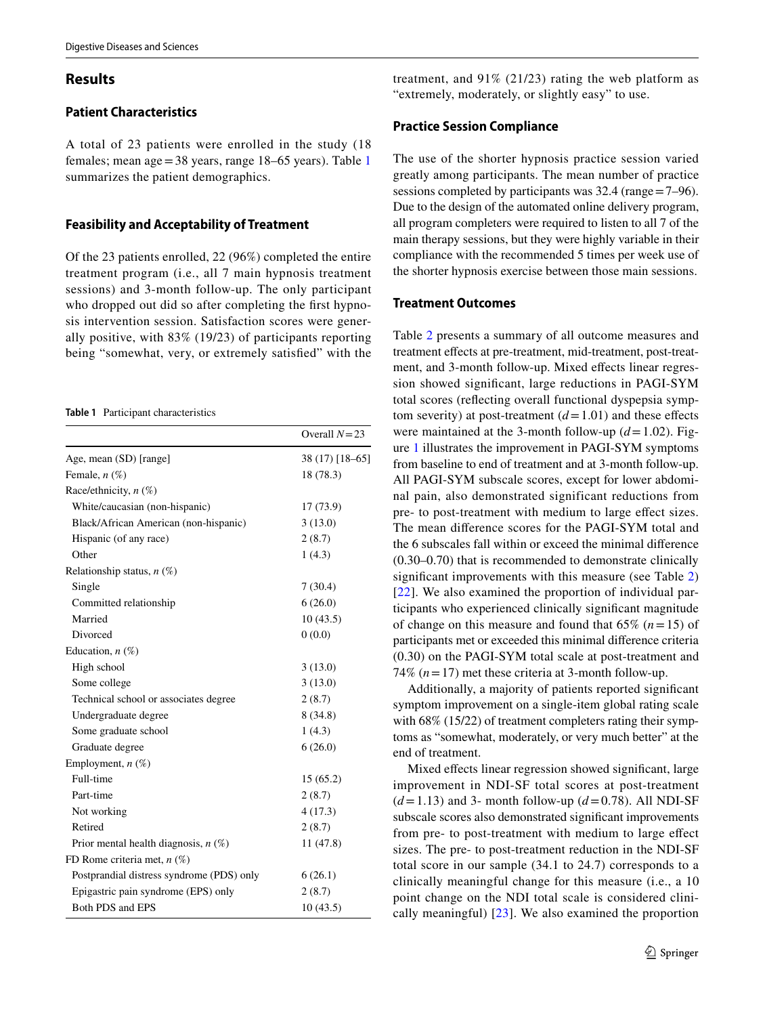# **Results**

# **Patient Characteristics**

A total of 23 patients were enrolled in the study (18 females; mean age=38 years, range 18–65 years). Table [1](#page-4-0) summarizes the patient demographics.

## **Feasibility and Acceptability of Treatment**

Of the 23 patients enrolled, 22 (96%) completed the entire treatment program (i.e., all 7 main hypnosis treatment sessions) and 3-month follow-up. The only participant who dropped out did so after completing the first hypnosis intervention session. Satisfaction scores were generally positive, with 83% (19/23) of participants reporting being "somewhat, very, or extremely satisfed" with the

<span id="page-4-0"></span>**Table 1** Participant characteristics

|                                           | Overall $N=23$  |
|-------------------------------------------|-----------------|
| Age, mean (SD) [range]                    | 38 (17) [18-65] |
| Female, $n$ $(\%)$                        | 18 (78.3)       |
| Race/ethnicity, $n$ (%)                   |                 |
| White/caucasian (non-hispanic)            | 17 (73.9)       |
| Black/African American (non-hispanic)     | 3(13.0)         |
| Hispanic (of any race)                    | 2(8.7)          |
| Other                                     | 1(4.3)          |
| Relationship status, $n$ (%)              |                 |
| Single                                    | 7(30.4)         |
| Committed relationship                    | 6(26.0)         |
| Married                                   | 10(43.5)        |
| Divorced                                  | 0(0.0)          |
| Education, $n$ (%)                        |                 |
| High school                               | 3(13.0)         |
| Some college                              | 3(13.0)         |
| Technical school or associates degree     | 2(8.7)          |
| Undergraduate degree                      | 8(34.8)         |
| Some graduate school                      | 1(4.3)          |
| Graduate degree                           | 6(26.0)         |
| Employment, $n$ (%)                       |                 |
| Full-time                                 | 15(65.2)        |
| Part-time                                 | 2(8.7)          |
| Not working                               | 4(17.3)         |
| Retired                                   | 2(8.7)          |
| Prior mental health diagnosis, $n$ (%)    | 11 (47.8)       |
| FD Rome criteria met, $n$ (%)             |                 |
| Postprandial distress syndrome (PDS) only | 6(26.1)         |
| Epigastric pain syndrome (EPS) only       | 2(8.7)          |
| Both PDS and EPS                          | 10(43.5)        |

# **Practice Session Compliance**

The use of the shorter hypnosis practice session varied greatly among participants. The mean number of practice sessions completed by participants was 32.4 (range=7–96). Due to the design of the automated online delivery program, all program completers were required to listen to all 7 of the main therapy sessions, but they were highly variable in their compliance with the recommended 5 times per week use of the shorter hypnosis exercise between those main sessions.

treatment, and 91% (21/23) rating the web platform as

# **Treatment Outcomes**

Table [2](#page-5-0) presents a summary of all outcome measures and treatment efects at pre-treatment, mid-treatment, post-treatment, and 3-month follow-up. Mixed effects linear regression showed signifcant, large reductions in PAGI-SYM total scores (refecting overall functional dyspepsia symptom severity) at post-treatment  $(d=1.01)$  and these effects were maintained at the 3-month follow-up  $(d=1.02)$ . Figure [1](#page-6-0) illustrates the improvement in PAGI-SYM symptoms from baseline to end of treatment and at 3-month follow-up. All PAGI-SYM subscale scores, except for lower abdominal pain, also demonstrated significant reductions from pre- to post-treatment with medium to large efect sizes. The mean diference scores for the PAGI-SYM total and the 6 subscales fall within or exceed the minimal diference (0.30–0.70) that is recommended to demonstrate clinically significant improvements with this measure (see Table [2\)](#page-5-0) [[22\]](#page-8-20). We also examined the proportion of individual participants who experienced clinically signifcant magnitude of change on this measure and found that 65% (*n*=15) of participants met or exceeded this minimal diference criteria (0.30) on the PAGI-SYM total scale at post-treatment and 74%  $(n=17)$  met these criteria at 3-month follow-up.

Additionally, a majority of patients reported signifcant symptom improvement on a single-item global rating scale with 68% (15/22) of treatment completers rating their symptoms as "somewhat, moderately, or very much better" at the end of treatment.

Mixed efects linear regression showed signifcant, large improvement in NDI-SF total scores at post-treatment  $(d=1.13)$  and 3- month follow-up  $(d=0.78)$ . All NDI-SF subscale scores also demonstrated signifcant improvements from pre- to post-treatment with medium to large efect sizes. The pre- to post-treatment reduction in the NDI-SF total score in our sample (34.1 to 24.7) corresponds to a clinically meaningful change for this measure (i.e., a 10 point change on the NDI total scale is considered clinically meaningful) [\[23](#page-8-21)]. We also examined the proportion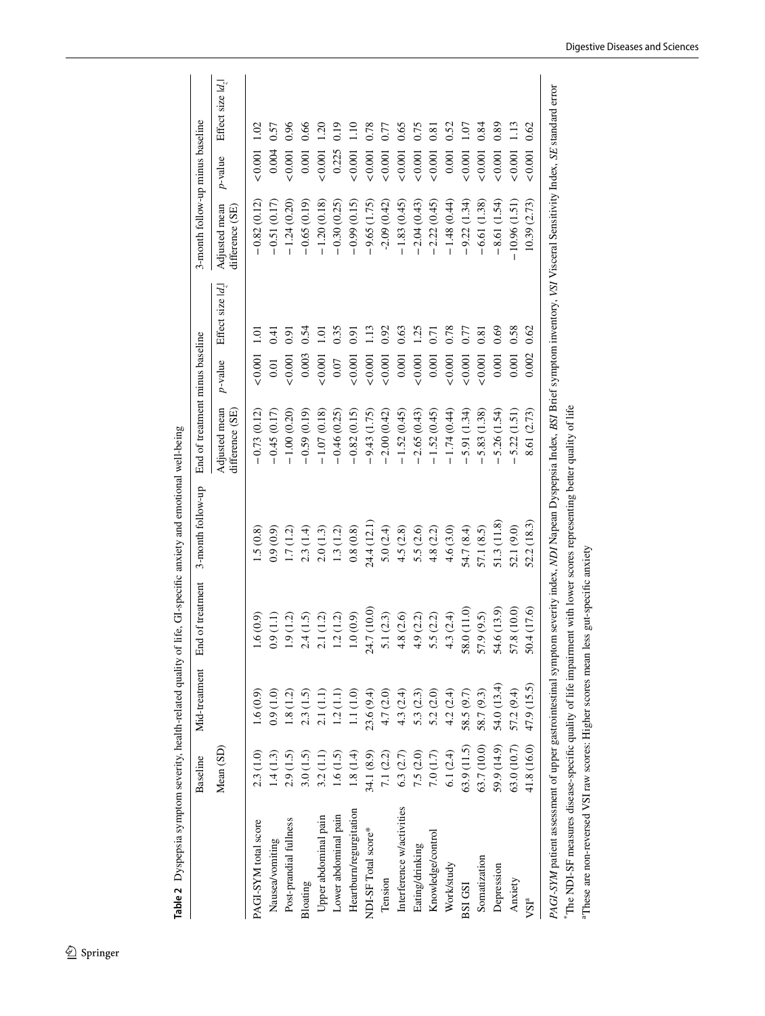|                                                                                                                                                                                          | Baseline    | Mid-treatment | End of treatment | 3-month follow-up | End of treatment minus baseline  |               |                    | 3-month follow-up minus baseline |                |                     |
|------------------------------------------------------------------------------------------------------------------------------------------------------------------------------------------|-------------|---------------|------------------|-------------------|----------------------------------|---------------|--------------------|----------------------------------|----------------|---------------------|
|                                                                                                                                                                                          | Mean (SD)   |               |                  |                   | Adjusted mean<br>difference (SE) | $p$ -value    | Effect size $ d$ , | Adjusted mean<br>difference (SE) | $p$ -value     | Effect size $ d_z $ |
| PAGI-SYM total score                                                                                                                                                                     | 2.3(1.0)    | 1.6(0.9)      | 1.6(0.9)         | 1.5(0.8)          | $-0.73(0.12)$                    | $0.001$ 1.01  |                    | $-0.82(0.12)$                    | $< 0.001$ 1.02 |                     |
| Nausea/vomiting                                                                                                                                                                          | 1.4(1.3)    | 0.9(1.0)      | (1.1)            | (6.0, 6.0)        | $-0.45(0.17)$                    | 0.01          | 0.41               | $-0.51(0.17)$                    | 0.004          | 0.57                |
| Post-prandial fullness                                                                                                                                                                   | 2.9(1.5)    | 1.8(1.2)      | 1.9(1.2)         | 1.7(1.2)          | $-1.00(0.20)$                    | 0.001         | 0.91               | $-1.24(0.20)$                    | &0.001         | 0.96                |
| Bloating                                                                                                                                                                                 | 3.0(1.5)    | 2.3(1.5)      | 2.4(1.5)         | 2.3(1.4)          | $-0.59(0.19)$                    | 0.003         | 0.54               | $-0.65(0.19)$                    | 0.001          | 0.66                |
| Upper abdominal pain                                                                                                                                                                     | 3.2(1.1)    | 2.1(1.1)      | 2.1(1.2)         | 2.0(1.3)          | $-1.07(0.18)$                    | 0.001         | 1.01               | $-1.20(0.18)$                    | 10001          | 1.20                |
| Lower abdominal pain                                                                                                                                                                     | 1.6(1.5)    | 1.2(1.1)      | 1.2(1.2)         | 1.3(1.2)          | $-0.46(0.25)$                    | 0.07          | 0.35               | $-0.30(0.25)$                    | 0.225          | 0.19                |
| Heartburn/regurgitation                                                                                                                                                                  | 1.8(1.4)    | 1.1(1.0)      | 1.0(0.9)         | 0.8(0.8)          | $-0.82(0.15)$                    | 0.001         | 0.91               | $-0.99(0.15)$                    | & 0.001        | 1.10                |
| NDI-SF Total score*                                                                                                                                                                      | 34.1 (8.9)  | 23.6 (9.4)    | 24.7 (10.0)      | 24.4 (12.1)       | $-9.43(1.75)$                    | 0.001         | $\frac{13}{2}$     | $-9.65(1.75)$                    | & 0.001        | 0.78                |
| Tension                                                                                                                                                                                  | 7.1 $(2.2)$ | 4.7 (2.0)     | 5.1(2.3)         | 5.0(2.4)          | $-2.00(0.42)$                    | 0.001         | 0.92               | $-2.09(0.42)$                    | & 0.001        | 0.77                |
| Interference w/activities                                                                                                                                                                | 6.3(2.7)    | 4.3 (2.4)     | 4.8(2.6)         | 4.5(2.8)          | $-1.52(0.45)$                    | 0.001         | 0.63               | $-1.83(0.45)$                    | &0.001         | 0.65                |
| Eating/drinking                                                                                                                                                                          | 7.5(2.0)    | 5.3(2.3)      | 4.9(2.2)         | 5.5 (2.6)         | $-2.65(0.43)$                    | 0.001         | 1.25               | $-2.04(0.43)$                    | 0.001          | 0.75                |
| Knowledge/control                                                                                                                                                                        | 7.0(1.7)    | 5.2(2.0)      | 5.5 (2.2)        | 4.8(2.2)          | $-1.52(0.45)$                    | 0.001         | 0.71               | $-2.22(0.45)$                    | ${}_{0.001}$   | 0.81                |
| Work/study                                                                                                                                                                               | 6.1(2.4)    | 4.2(2.4)      | 4.3(2.4)         | 4.6(3.0)          | $-1.74(0.44)$                    | 0.001         | 0.78               | $-1.48(0.44)$                    | 0.001          | 0.52                |
| BSI GSI                                                                                                                                                                                  | 63.9 (11.5) | 58.5 (9.7)    | 58.0 (11.0)      | 54.7 (8.4)        | 5.91 (1.34)                      | 10001         | 0.77               | $-9.22(1.34)$                    | ${}_{0.001}$   | 1.07                |
| Somatization                                                                                                                                                                             | 63.7 (10.0) | 58.7 (9.3)    | 57.9 (9.5)       | 57.1 (8.5)        | 5.83 (1.38)                      | ${}_{<0.001}$ | 0.81               | $-6.61(1.38)$                    | ${}_{<0.001}$  | 0.84                |
| Depression                                                                                                                                                                               | 59.9 (14.9) | 54.0 (13.4)   | 54.6 (13.9)      | 51.3 (11.8)       | 5.26 (1.54)                      | 0.001         | 0.69               | $-8.61(1.54)$                    | &0.001         | 0.89                |
| Anxiety                                                                                                                                                                                  | 63.0(10.7)  | 57.2 (9.4)    | 57.8 (10.0)      | 52.1 (9.0)        | 5.22(1.51)                       | 0.001         | 0.58               | $-10.96(1.51)$                   | ${}_{<0.001}$  | 1.13                |
| VSI <sup>a</sup>                                                                                                                                                                         | 41.8 (16.0) | 47.9 (15.5)   | 50.4 (17.6)      | 52.2(18.3)        | 8.61 (2.73)                      | 0.002         | 0.62               | 10.39(2.73)                      | ${}_{0.001}$   | 0.62                |
| PAGI-SYM patient assessment of upper gastrointestinal symptom severity index, NDI Napean Dyspepsia Index, BSI Brief symptom inventory, VSI Visceral Sensitivity Index, SE standard error |             |               |                  |                   |                                  |               |                    |                                  |                |                     |
| The NDI-SF measures disease-specific quality of life impairment with lower scores representing better quality of life                                                                    |             |               |                  |                   |                                  |               |                    |                                  |                |                     |

<span id="page-5-0"></span>Table 2 Dyspepsia symptom severity, health-related quality of life, GI-specific anxiety and emotional well-being **Table 2** Dyspepsia symptom severity, health-related quality of life, GI-specifc anxiety and emotional well-being Digestive Diseases and Sciences

aThese are non-reversed VSI raw scores: Higher scores mean less gut-specifc anxiety

aThese are non-reversed VSI raw scores: Higher scores mean less gut-specific anxiety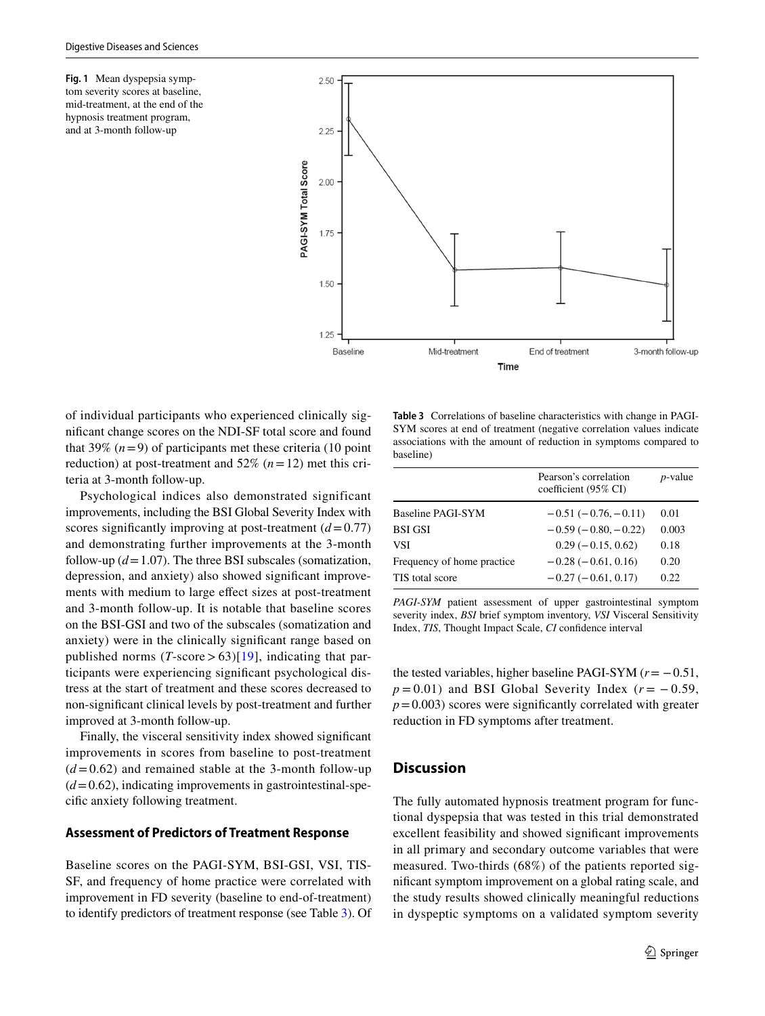<span id="page-6-0"></span>**Fig. 1** Mean dyspepsia symptom severity scores at baseline, mid-treatment, at the end of the hypnosis treatment program, and at 3-month follow-up



of individual participants who experienced clinically signifcant change scores on the NDI-SF total score and found that 39%  $(n=9)$  of participants met these criteria (10 point reduction) at post-treatment and  $52\%$  ( $n=12$ ) met this criteria at 3-month follow-up.

Psychological indices also demonstrated significant improvements, including the BSI Global Severity Index with scores significantly improving at post-treatment  $(d=0.77)$ and demonstrating further improvements at the 3-month follow-up  $(d=1.07)$ . The three BSI subscales (somatization, depression, and anxiety) also showed signifcant improvements with medium to large efect sizes at post-treatment and 3-month follow-up. It is notable that baseline scores on the BSI-GSI and two of the subscales (somatization and anxiety) were in the clinically signifcant range based on published norms  $(T\text{-score} > 63)[19]$  $(T\text{-score} > 63)[19]$  $(T\text{-score} > 63)[19]$ , indicating that participants were experiencing signifcant psychological distress at the start of treatment and these scores decreased to non-signifcant clinical levels by post-treatment and further improved at 3-month follow-up.

Finally, the visceral sensitivity index showed signifcant improvements in scores from baseline to post-treatment  $(d=0.62)$  and remained stable at the 3-month follow-up  $(d=0.62)$ , indicating improvements in gastrointestinal-specifc anxiety following treatment.

## **Assessment of Predictors of Treatment Response**

Baseline scores on the PAGI-SYM, BSI-GSI, VSI, TIS-SF, and frequency of home practice were correlated with improvement in FD severity (baseline to end-of-treatment) to identify predictors of treatment response (see Table [3\)](#page-6-1). Of

<span id="page-6-1"></span>**Table 3** Correlations of baseline characteristics with change in PAGI-SYM scores at end of treatment (negative correlation values indicate associations with the amount of reduction in symptoms compared to baseline)

|                             | Pearson's correlation<br>coefficient (95% CI) | <i>p</i> -value |
|-----------------------------|-----------------------------------------------|-----------------|
| Baseline PAGI-SYM           | $-0.51(-0.76,-0.11)$                          | 0.01            |
| <b>BSI GSI</b>              | $-0.59(-0.80,-0.22)$                          | 0.003           |
| VSI                         | $0.29(-0.15, 0.62)$                           | 0.18            |
| Frequency of home practice. | $-0.28(-0.61, 0.16)$                          | 0.20            |
| TIS total score             | $-0.27(-0.61, 0.17)$                          | 0.22.           |

*PAGI-SYM* patient assessment of upper gastrointestinal symptom severity index, *BSI* brief symptom inventory, *VSI* Visceral Sensitivity Index, *TIS*, Thought Impact Scale, *CI* confdence interval

the tested variables, higher baseline PAGI-SYM (*r*= −0.51,  $p = 0.01$ ) and BSI Global Severity Index ( $r = -0.59$ ,  $p=0.003$ ) scores were significantly correlated with greater reduction in FD symptoms after treatment.

#### **Discussion**

The fully automated hypnosis treatment program for functional dyspepsia that was tested in this trial demonstrated excellent feasibility and showed signifcant improvements in all primary and secondary outcome variables that were measured. Two-thirds (68%) of the patients reported signifcant symptom improvement on a global rating scale, and the study results showed clinically meaningful reductions in dyspeptic symptoms on a validated symptom severity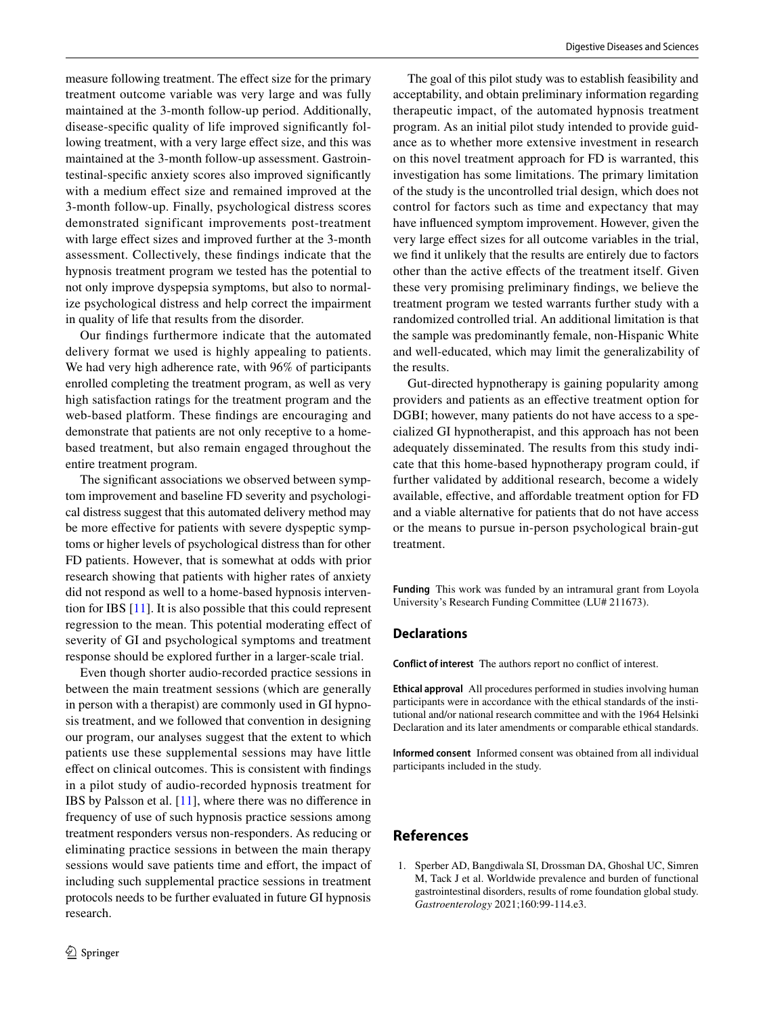measure following treatment. The effect size for the primary treatment outcome variable was very large and was fully maintained at the 3-month follow-up period. Additionally, disease-specifc quality of life improved signifcantly following treatment, with a very large efect size, and this was maintained at the 3-month follow-up assessment. Gastrointestinal-specifc anxiety scores also improved signifcantly with a medium effect size and remained improved at the 3-month follow-up. Finally, psychological distress scores demonstrated significant improvements post-treatment with large effect sizes and improved further at the 3-month assessment. Collectively, these fndings indicate that the hypnosis treatment program we tested has the potential to not only improve dyspepsia symptoms, but also to normalize psychological distress and help correct the impairment in quality of life that results from the disorder.

Our fndings furthermore indicate that the automated delivery format we used is highly appealing to patients. We had very high adherence rate, with 96% of participants enrolled completing the treatment program, as well as very high satisfaction ratings for the treatment program and the web-based platform. These fndings are encouraging and demonstrate that patients are not only receptive to a homebased treatment, but also remain engaged throughout the entire treatment program.

The signifcant associations we observed between symptom improvement and baseline FD severity and psychological distress suggest that this automated delivery method may be more effective for patients with severe dyspeptic symptoms or higher levels of psychological distress than for other FD patients. However, that is somewhat at odds with prior research showing that patients with higher rates of anxiety did not respond as well to a home-based hypnosis intervention for IBS [[11\]](#page-8-9). It is also possible that this could represent regression to the mean. This potential moderating efect of severity of GI and psychological symptoms and treatment response should be explored further in a larger-scale trial.

Even though shorter audio-recorded practice sessions in between the main treatment sessions (which are generally in person with a therapist) are commonly used in GI hypnosis treatment, and we followed that convention in designing our program, our analyses suggest that the extent to which patients use these supplemental sessions may have little efect on clinical outcomes. This is consistent with fndings in a pilot study of audio-recorded hypnosis treatment for IBS by Palsson et al. [[11](#page-8-9)], where there was no diference in frequency of use of such hypnosis practice sessions among treatment responders versus non-responders. As reducing or eliminating practice sessions in between the main therapy sessions would save patients time and effort, the impact of including such supplemental practice sessions in treatment protocols needs to be further evaluated in future GI hypnosis research.

The goal of this pilot study was to establish feasibility and acceptability, and obtain preliminary information regarding therapeutic impact, of the automated hypnosis treatment program. As an initial pilot study intended to provide guidance as to whether more extensive investment in research on this novel treatment approach for FD is warranted, this investigation has some limitations. The primary limitation of the study is the uncontrolled trial design, which does not control for factors such as time and expectancy that may have infuenced symptom improvement. However, given the very large efect sizes for all outcome variables in the trial, we fnd it unlikely that the results are entirely due to factors other than the active efects of the treatment itself. Given these very promising preliminary fndings, we believe the treatment program we tested warrants further study with a randomized controlled trial. An additional limitation is that the sample was predominantly female, non-Hispanic White and well-educated, which may limit the generalizability of the results.

Gut-directed hypnotherapy is gaining popularity among providers and patients as an efective treatment option for DGBI; however, many patients do not have access to a specialized GI hypnotherapist, and this approach has not been adequately disseminated. The results from this study indicate that this home-based hypnotherapy program could, if further validated by additional research, become a widely available, efective, and afordable treatment option for FD and a viable alternative for patients that do not have access or the means to pursue in-person psychological brain-gut treatment.

**Funding** This work was funded by an intramural grant from Loyola University's Research Funding Committee (LU# 211673).

### **Declarations**

**Conflict of interest** The authors report no confict of interest.

**Ethical approval** All procedures performed in studies involving human participants were in accordance with the ethical standards of the institutional and/or national research committee and with the 1964 Helsinki Declaration and its later amendments or comparable ethical standards.

**Informed consent** Informed consent was obtained from all individual participants included in the study.

# **References**

<span id="page-7-0"></span>1. Sperber AD, Bangdiwala SI, Drossman DA, Ghoshal UC, Simren M, Tack J et al. Worldwide prevalence and burden of functional gastrointestinal disorders, results of rome foundation global study. *Gastroenterology* 2021;160:99-114.e3.